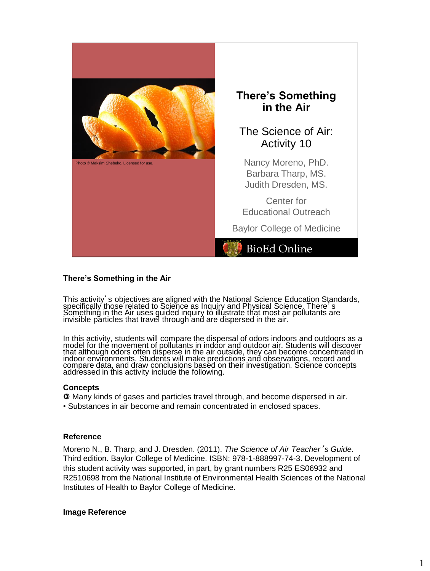

#### **There's Something in the Air**

This activity's objectives are aligned with the National Science Education Standards, specifically those related to Science as Inquiry and Physical Science. There's Something in the Air uses guided inquiry to illustrate that most air pollutants are invisible particles that travel through and are dispersed in the air.

In this activity, students will compare the dispersal of odors indoors and outdoors as a model for the movement of pollutants in indoor and outdoor air. Students will discover that although odors often disperse in the air outside, they can become concentrated in indoor environments. Students will make predictions and observations, record and compare data, and draw conclusions based on their investigation. Science concepts addressed in this activity include the following.

#### **Concepts**

 Many kinds of gases and particles travel through, and become dispersed in air. • Substances in air become and remain concentrated in enclosed spaces.

#### **Reference**

Moreno N., B. Tharp, and J. Dresden. (2011). *The Science of Air Teacher*'*s Guide.* Third edition. Baylor College of Medicine. ISBN: 978-1-888997-74-3. Development of this student activity was supported, in part, by grant numbers R25 ES06932 and R2510698 from the National Institute of Environmental Health Sciences of the National Institutes of Health to Baylor College of Medicine.

#### **Image Reference**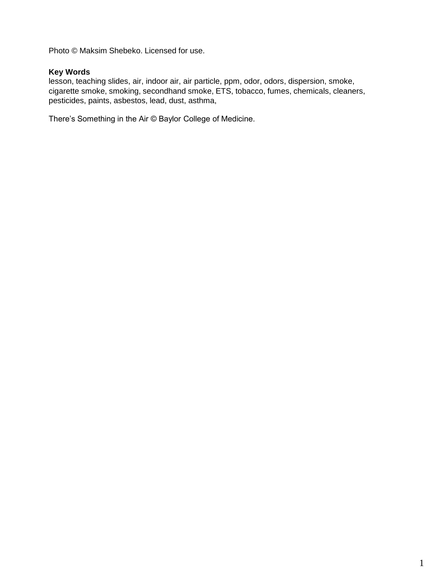Photo © Maksim Shebeko. Licensed for use.

## **Key Words**

lesson, teaching slides, air, indoor air, air particle, ppm, odor, odors, dispersion, smoke, cigarette smoke, smoking, secondhand smoke, ETS, tobacco, fumes, chemicals, cleaners, pesticides, paints, asbestos, lead, dust, asthma,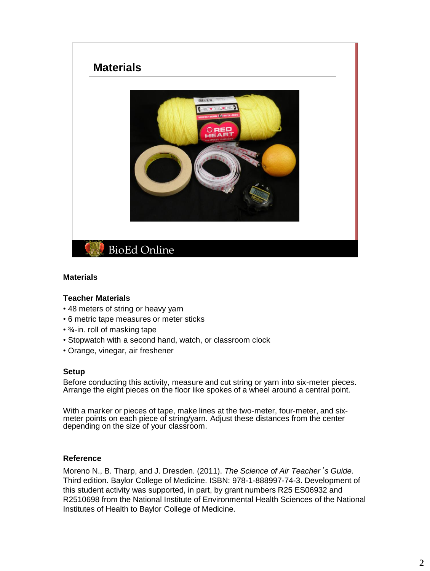# **BioEd Online Materials**

#### **Materials**

#### **Teacher Materials**

- 48 meters of string or heavy yarn
- 6 metric tape measures or meter sticks
- ¾-in. roll of masking tape
- Stopwatch with a second hand, watch, or classroom clock
- Orange, vinegar, air freshener

#### **Setup**

Before conducting this activity, measure and cut string or yarn into six-meter pieces. Arrange the eight pieces on the floor like spokes of a wheel around a central point.

With a marker or pieces of tape, make lines at the two-meter, four-meter, and sixmeter points on each piece of string/yarn. Adjust these distances from the center depending on the size of your classroom.

#### **Reference**

Moreno N., B. Tharp, and J. Dresden. (2011). *The Science of Air Teacher*'*s Guide.* Third edition. Baylor College of Medicine. ISBN: 978-1-888997-74-3. Development of this student activity was supported, in part, by grant numbers R25 ES06932 and R2510698 from the National Institute of Environmental Health Sciences of the National Institutes of Health to Baylor College of Medicine.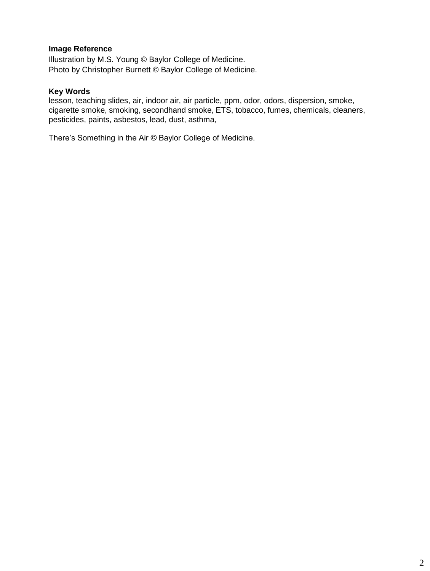# **Image Reference**

Illustration by M.S. Young © Baylor College of Medicine. Photo by Christopher Burnett © Baylor College of Medicine.

#### **Key Words**

lesson, teaching slides, air, indoor air, air particle, ppm, odor, odors, dispersion, smoke, cigarette smoke, smoking, secondhand smoke, ETS, tobacco, fumes, chemicals, cleaners, pesticides, paints, asbestos, lead, dust, asthma,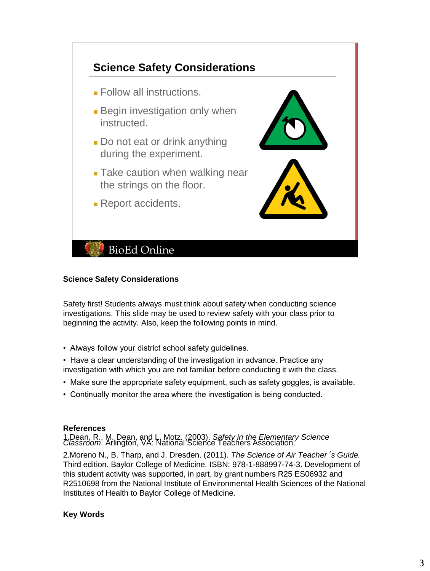

#### **Science Safety Considerations**

Safety first! Students always must think about safety when conducting science investigations. This slide may be used to review safety with your class prior to beginning the activity. Also, keep the following points in mind.

• Always follow your district school safety guidelines.

• Have a clear understanding of the investigation in advance. Practice any investigation with which you are not familiar before conducting it with the class.

- Make sure the appropriate safety equipment, such as safety goggles, is available.
- Continually monitor the area where the investigation is being conducted.

#### **References**

1.Dean, R., M. Dean, and L. Motz. (2003). *Safety in the Elementary Science Classroom*. Arlington, VA: National Science Teachers Association.

2.Moreno N., B. Tharp, and J. Dresden. (2011). *The Science of Air Teacher*'*s Guide.* Third edition. Baylor College of Medicine. ISBN: 978-1-888997-74-3. Development of this student activity was supported, in part, by grant numbers R25 ES06932 and R2510698 from the National Institute of Environmental Health Sciences of the National Institutes of Health to Baylor College of Medicine.

# **Key Words**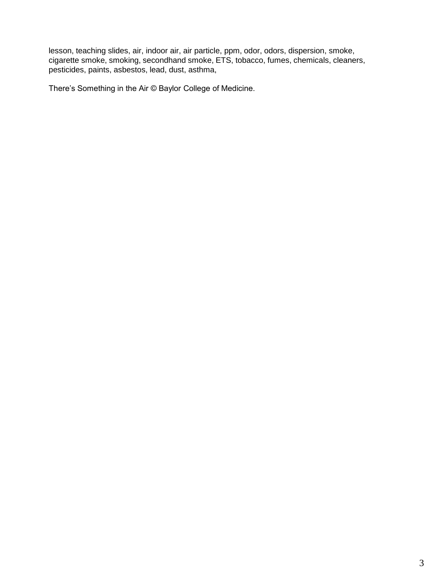lesson, teaching slides, air, indoor air, air particle, ppm, odor, odors, dispersion, smoke, cigarette smoke, smoking, secondhand smoke, ETS, tobacco, fumes, chemicals, cleaners, pesticides, paints, asbestos, lead, dust, asthma,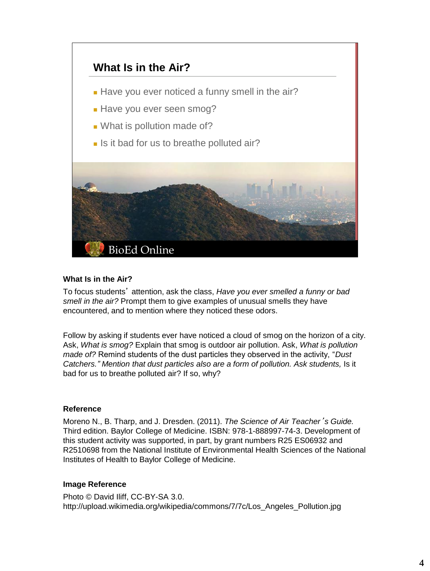

# **What Is in the Air?**

To focus students' attention, ask the class, *Have you ever smelled a funny or bad smell in the air?* Prompt them to give examples of unusual smells they have encountered, and to mention where they noticed these odors.

Follow by asking if students ever have noticed a cloud of smog on the horizon of a city. Ask, *What is smog?* Explain that smog is outdoor air pollution. Ask, *What is pollution made of?* Remind students of the dust particles they observed in the activity, "*Dust Catchers." Mention that dust particles also are a form of pollution. Ask students,* Is it bad for us to breathe polluted air? If so, why?

#### **Reference**

Moreno N., B. Tharp, and J. Dresden. (2011). *The Science of Air Teacher*'*s Guide.* Third edition. Baylor College of Medicine. ISBN: 978-1-888997-74-3. Development of this student activity was supported, in part, by grant numbers R25 ES06932 and R2510698 from the National Institute of Environmental Health Sciences of the National Institutes of Health to Baylor College of Medicine.

#### **Image Reference**

Photo © David Iliff, CC-BY-SA 3.0. http://upload.wikimedia.org/wikipedia/commons/7/7c/Los\_Angeles\_Pollution.jpg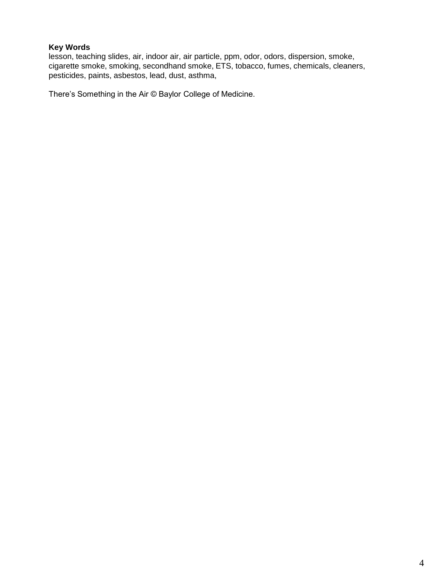# **Key Words**

lesson, teaching slides, air, indoor air, air particle, ppm, odor, odors, dispersion, smoke, cigarette smoke, smoking, secondhand smoke, ETS, tobacco, fumes, chemicals, cleaners, pesticides, paints, asbestos, lead, dust, asthma,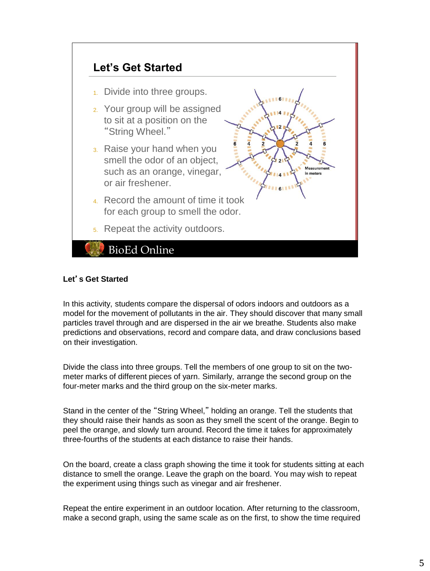

# **Let**'**s Get Started**

In this activity, students compare the dispersal of odors indoors and outdoors as a model for the movement of pollutants in the air. They should discover that many small particles travel through and are dispersed in the air we breathe. Students also make predictions and observations, record and compare data, and draw conclusions based on their investigation.

Divide the class into three groups. Tell the members of one group to sit on the twometer marks of different pieces of yarn. Similarly, arrange the second group on the four-meter marks and the third group on the six-meter marks.

Stand in the center of the "String Wheel," holding an orange. Tell the students that they should raise their hands as soon as they smell the scent of the orange. Begin to peel the orange, and slowly turn around. Record the time it takes for approximately three-fourths of the students at each distance to raise their hands.

On the board, create a class graph showing the time it took for students sitting at each distance to smell the orange. Leave the graph on the board. You may wish to repeat the experiment using things such as vinegar and air freshener.

Repeat the entire experiment in an outdoor location. After returning to the classroom, make a second graph, using the same scale as on the first, to show the time required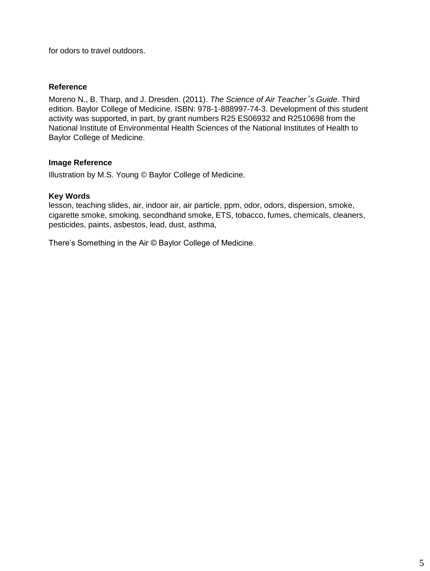for odors to travel outdoors.

#### **Reference**

Moreno N., B. Tharp, and J. Dresden. (2011). *The Science of Air Teacher*'*s Guide.* Third edition. Baylor College of Medicine. ISBN: 978-1-888997-74-3. Development of this student activity was supported, in part, by grant numbers R25 ES06932 and R2510698 from the National Institute of Environmental Health Sciences of the National Institutes of Health to Baylor College of Medicine.

#### **Image Reference**

Illustration by M.S. Young © Baylor College of Medicine.

#### **Key Words**

lesson, teaching slides, air, indoor air, air particle, ppm, odor, odors, dispersion, smoke, cigarette smoke, smoking, secondhand smoke, ETS, tobacco, fumes, chemicals, cleaners, pesticides, paints, asbestos, lead, dust, asthma,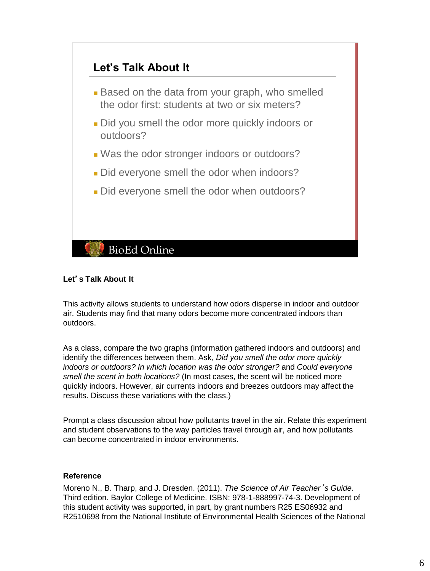

# **Let**'**s Talk About It**

This activity allows students to understand how odors disperse in indoor and outdoor air. Students may find that many odors become more concentrated indoors than outdoors.

As a class, compare the two graphs (information gathered indoors and outdoors) and identify the differences between them. Ask, *Did you smell the odor more quickly indoors or outdoors? In which location was the odor stronger?* and *Could everyone smell the scent in both locations?* (In most cases, the scent will be noticed more quickly indoors. However, air currents indoors and breezes outdoors may affect the results. Discuss these variations with the class.)

Prompt a class discussion about how pollutants travel in the air. Relate this experiment and student observations to the way particles travel through air, and how pollutants can become concentrated in indoor environments.

#### **Reference**

Moreno N., B. Tharp, and J. Dresden. (2011). *The Science of Air Teacher*'*s Guide.* Third edition. Baylor College of Medicine. ISBN: 978-1-888997-74-3. Development of this student activity was supported, in part, by grant numbers R25 ES06932 and R2510698 from the National Institute of Environmental Health Sciences of the National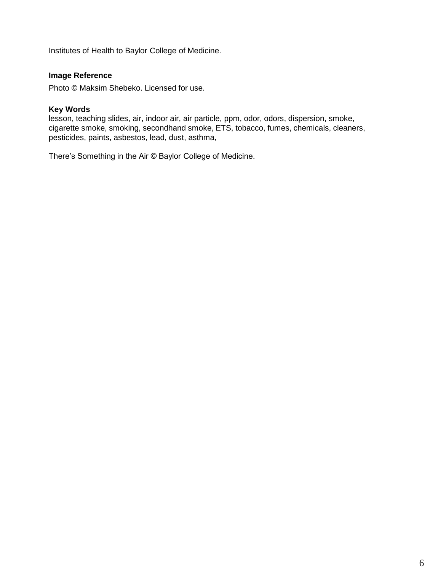Institutes of Health to Baylor College of Medicine.

# **Image Reference**

Photo © Maksim Shebeko. Licensed for use.

#### **Key Words**

lesson, teaching slides, air, indoor air, air particle, ppm, odor, odors, dispersion, smoke, cigarette smoke, smoking, secondhand smoke, ETS, tobacco, fumes, chemicals, cleaners, pesticides, paints, asbestos, lead, dust, asthma,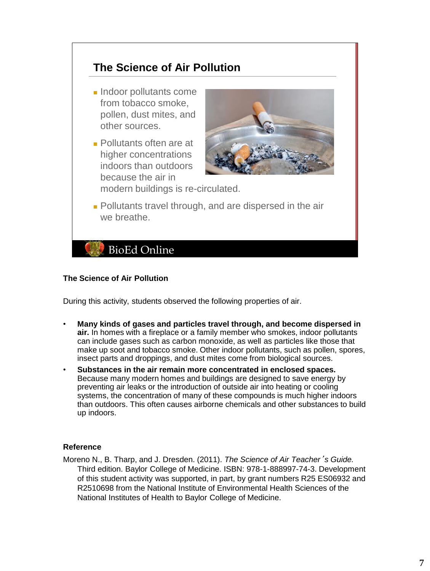# **The Science of Air Pollution**

- Indoor pollutants come from tobacco smoke, pollen, dust mites, and other sources.
- Pollutants often are at higher concentrations indoors than outdoors because the air in



modern buildings is re-circulated.

■ Pollutants travel through, and are dispersed in the air we breathe.

# **BioEd Online**

# **The Science of Air Pollution**

During this activity, students observed the following properties of air.

- **Many kinds of gases and particles travel through, and become dispersed in air.** In homes with a fireplace or a family member who smokes, indoor pollutants can include gases such as carbon monoxide, as well as particles like those that make up soot and tobacco smoke. Other indoor pollutants, such as pollen, spores, insect parts and droppings, and dust mites come from biological sources.
- **Substances in the air remain more concentrated in enclosed spaces.** Because many modern homes and buildings are designed to save energy by preventing air leaks or the introduction of outside air into heating or cooling systems, the concentration of many of these compounds is much higher indoors than outdoors. This often causes airborne chemicals and other substances to build up indoors.

#### **Reference**

Moreno N., B. Tharp, and J. Dresden. (2011). *The Science of Air Teacher*'*s Guide.* Third edition. Baylor College of Medicine. ISBN: 978-1-888997-74-3. Development of this student activity was supported, in part, by grant numbers R25 ES06932 and R2510698 from the National Institute of Environmental Health Sciences of the National Institutes of Health to Baylor College of Medicine.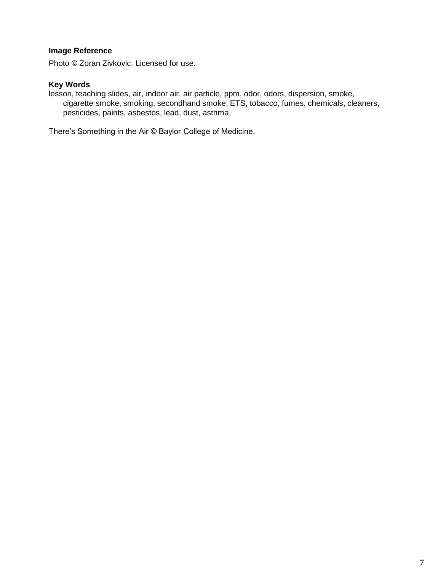# **Image Reference**

Photo © Zoran Zivkovic. Licensed for use.

# **Key Words**

lesson, teaching slides, air, indoor air, air particle, ppm, odor, odors, dispersion, smoke, cigarette smoke, smoking, secondhand smoke, ETS, tobacco, fumes, chemicals, cleaners, pesticides, paints, asbestos, lead, dust, asthma,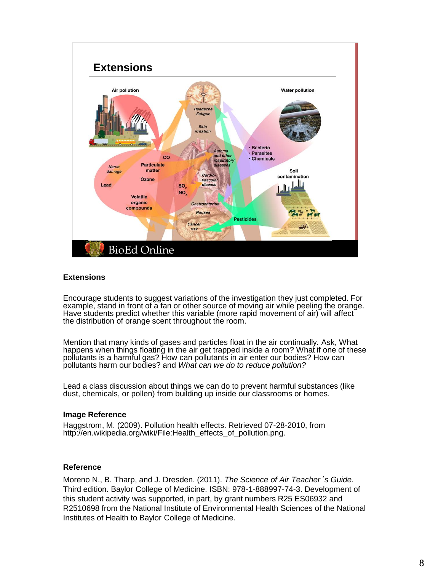

#### **Extensions**

Encourage students to suggest variations of the investigation they just completed. For example, stand in front of a fan or other source of moving air while peeling the orange. Have students predict whether this variable (more rapid movement of air) will affect the distribution of orange scent throughout the room.

Mention that many kinds of gases and particles float in the air continually. Ask, What happens when things floating in the air get trapped inside a room? What if one of these pollutants is a harmful gas? How can pollutants in air enter our bodies? How can pollutants harm our bodies? and *What can we do to reduce pollution?*

Lead a class discussion about things we can do to prevent harmful substances (like dust, chemicals, or pollen) from building up inside our classrooms or homes.

#### **Image Reference**

Haggstrom, M. (2009). Pollution health effects. Retrieved 07-28-2010, from http://en.wikipedia.org/wiki/File:Health\_effects\_of\_pollution.png.

#### **Reference**

Moreno N., B. Tharp, and J. Dresden. (2011). *The Science of Air Teacher*'*s Guide.* Third edition. Baylor College of Medicine. ISBN: 978-1-888997-74-3. Development of this student activity was supported, in part, by grant numbers R25 ES06932 and R2510698 from the National Institute of Environmental Health Sciences of the National Institutes of Health to Baylor College of Medicine.